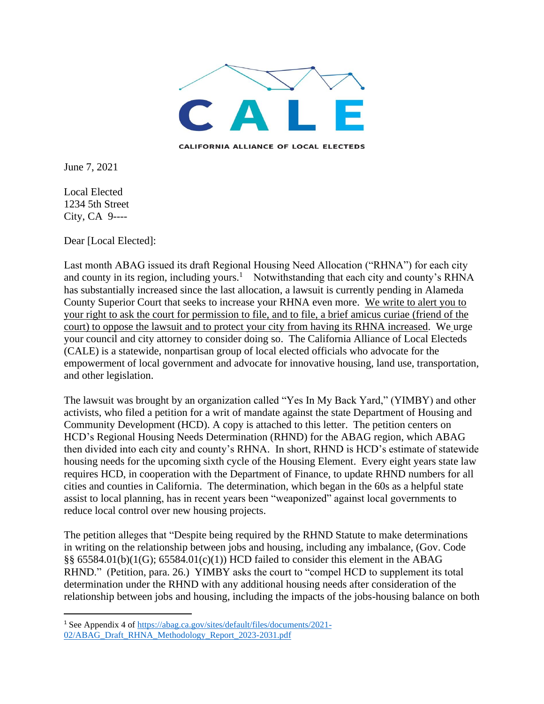

**CALIFORNIA ALLIANCE OF LOCAL ELECTEDS** 

June 7, 2021

Local Elected 1234 5th Street City, CA 9----

Dear [Local Elected]:

Last month ABAG issued its draft Regional Housing Need Allocation ("RHNA") for each city and county in its region, including yours.<sup>1</sup> Notwithstanding that each city and county's RHNA has substantially increased since the last allocation, a lawsuit is currently pending in Alameda County Superior Court that seeks to increase your RHNA even more. We write to alert you to your right to ask the court for permission to file, and to file, a brief amicus curiae (friend of the court) to oppose the lawsuit and to protect your city from having its RHNA increased. We urge your council and city attorney to consider doing so. The California Alliance of Local Electeds (CALE) is a statewide, nonpartisan group of local elected officials who advocate for the empowerment of local government and advocate for innovative housing, land use, transportation, and other legislation.

The lawsuit was brought by an organization called "Yes In My Back Yard," (YIMBY) and other activists, who filed a petition for a writ of mandate against the state Department of Housing and Community Development (HCD). A copy is attached to this letter. The petition centers on HCD's Regional Housing Needs Determination (RHND) for the ABAG region, which ABAG then divided into each city and county's RHNA. In short, RHND is HCD's estimate of statewide housing needs for the upcoming sixth cycle of the Housing Element. Every eight years state law requires HCD, in cooperation with the Department of Finance, to update RHND numbers for all cities and counties in California. The determination, which began in the 60s as a helpful state assist to local planning, has in recent years been "weaponized" against local governments to reduce local control over new housing projects.

The petition alleges that "Despite being required by the RHND Statute to make determinations in writing on the relationship between jobs and housing, including any imbalance, (Gov. Code §§ 65584.01(b)(1(G); 65584.01(c)(1)) HCD failed to consider this element in the ABAG RHND." (Petition, para. 26.) YIMBY asks the court to "compel HCD to supplement its total determination under the RHND with any additional housing needs after consideration of the relationship between jobs and housing, including the impacts of the jobs-housing balance on both

<sup>1</sup> See Appendix 4 of [https://abag.ca.gov/sites/default/files/documents/2021-](https://abag.ca.gov/sites/default/files/documents/2021-02/ABAG_Draft_RHNA_Methodology_Report_2023-2031.pdf) [02/ABAG\\_Draft\\_RHNA\\_Methodology\\_Report\\_2023-2031.pdf](https://abag.ca.gov/sites/default/files/documents/2021-02/ABAG_Draft_RHNA_Methodology_Report_2023-2031.pdf)